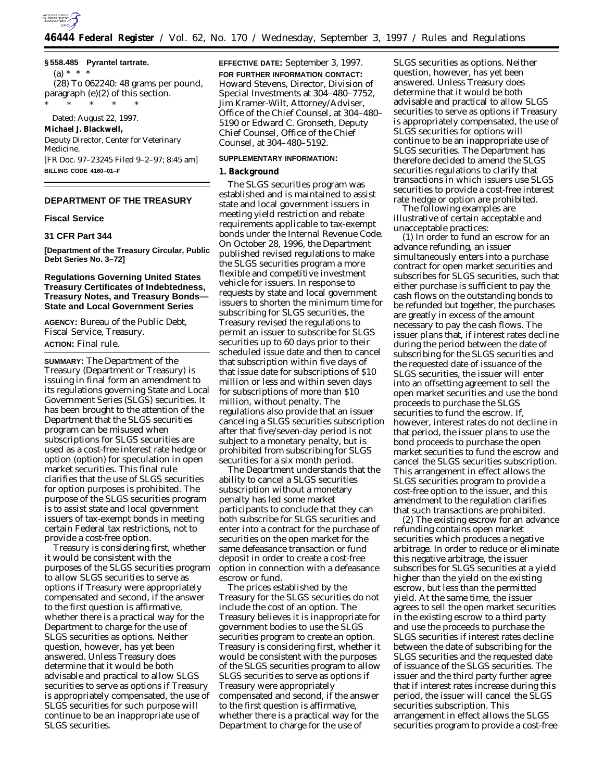

## **§ 558.485 Pyrantel tartrate.**

 $(a) * * * *$ 

(28) To 062240: 48 grams per pound, paragraph (e)(2) of this section.

\* \* \* \* \* Dated: August 22, 1997.

#### **Michael J. Blackwell,**

*Deputy Director, Center for Veterinary Medicine.*

[FR Doc. 97–23245 Filed 9–2–97; 8:45 am] **BILLING CODE 4160–01–F**

# **DEPARTMENT OF THE TREASURY**

#### **Fiscal Service**

#### **31 CFR Part 344**

**[Department of the Treasury Circular, Public Debt Series No. 3–72]**

## **Regulations Governing United States Treasury Certificates of Indebtedness, Treasury Notes, and Treasury Bonds— State and Local Government Series**

**AGENCY:** Bureau of the Public Debt, Fiscal Service, Treasury. **ACTION:** Final rule.

**SUMMARY:** The Department of the Treasury (Department or Treasury) is issuing in final form an amendment to its regulations governing State and Local Government Series (SLGS) securities. It has been brought to the attention of the Department that the SLGS securities program can be misused when subscriptions for SLGS securities are used as a cost-free interest rate hedge or option (option) for speculation in open market securities. This final rule clarifies that the use of SLGS securities for option purposes is prohibited. The purpose of the SLGS securities program is to assist state and local government issuers of tax-exempt bonds in meeting certain Federal tax restrictions, not to provide a cost-free option.

Treasury is considering first, whether it would be consistent with the purposes of the SLGS securities program to allow SLGS securities to serve as options if Treasury were appropriately compensated and second, if the answer to the first question is affirmative, whether there is a practical way for the Department to charge for the use of SLGS securities as options. Neither question, however, has yet been answered. Unless Treasury does determine that it would be both advisable and practical to allow SLGS securities to serve as options if Treasury is appropriately compensated, the use of SLGS securities for such purpose will continue to be an inappropriate use of SLGS securities.

**EFFECTIVE DATE:** September 3, 1997. **FOR FURTHER INFORMATION CONTACT:** Howard Stevens, Director, Division of Special Investments at 304–480–7752, Jim Kramer-Wilt, Attorney/Adviser, Office of the Chief Counsel, at 304–480– 5190 or Edward C. Gronseth, Deputy Chief Counsel, Office of the Chief Counsel, at 304–480–5192.

## **SUPPLEMENTARY INFORMATION:**

### **1. Background**

The SLGS securities program was established and is maintained to assist state and local government issuers in meeting yield restriction and rebate requirements applicable to tax-exempt bonds under the Internal Revenue Code. On October 28, 1996, the Department published revised regulations to make the SLGS securities program a more flexible and competitive investment vehicle for issuers. In response to requests by state and local government issuers to shorten the minimum time for subscribing for SLGS securities, the Treasury revised the regulations to permit an issuer to subscribe for SLGS securities up to 60 days prior to their scheduled issue date and then to cancel that subscription within five days of that issue date for subscriptions of \$10 million or less and within seven days for subscriptions of more than \$10 million, without penalty. The regulations also provide that an issuer canceling a SLGS securities subscription after that five/seven-day period is not subject to a monetary penalty, but is prohibited from subscribing for SLGS securities for a six month period.

The Department understands that the ability to cancel a SLGS securities subscription without a monetary penalty has led some market participants to conclude that they can both subscribe for SLGS securities and enter into a contract for the purchase of securities on the open market for the same defeasance transaction or fund deposit in order to create a cost-free option in connection with a defeasance escrow or fund.

The prices established by the Treasury for the SLGS securities do not include the cost of an option. The Treasury believes it is inappropriate for government bodies to use the SLGS securities program to create an option. Treasury is considering first, whether it would be consistent with the purposes of the SLGS securities program to allow SLGS securities to serve as options if Treasury were appropriately compensated and second, if the answer to the first question is affirmative, whether there is a practical way for the Department to charge for the use of

SLGS securities as options. Neither question, however, has yet been answered. Unless Treasury does determine that it would be both advisable and practical to allow SLGS securities to serve as options if Treasury is appropriately compensated, the use of SLGS securities for options will continue to be an inappropriate use of SLGS securities. The Department has therefore decided to amend the SLGS securities regulations to clarify that transactions in which issuers use SLGS securities to provide a cost-free interest rate hedge or option are prohibited.

The following examples are illustrative of certain acceptable and unacceptable practices:

(1) In order to fund an escrow for an advance refunding, an issuer simultaneously enters into a purchase contract for open market securities and subscribes for SLGS securities, such that either purchase is sufficient to pay the cash flows on the outstanding bonds to be refunded but together, the purchases are greatly in excess of the amount necessary to pay the cash flows. The issuer plans that, if interest rates decline during the period between the date of subscribing for the SLGS securities and the requested date of issuance of the SLGS securities, the issuer will enter into an offsetting agreement to sell the open market securities and use the bond proceeds to purchase the SLGS securities to fund the escrow. If, however, interest rates do not decline in that period, the issuer plans to use the bond proceeds to purchase the open market securities to fund the escrow and cancel the SLGS securities subscription. This arrangement in effect allows the SLGS securities program to provide a cost-free option to the issuer, and this amendment to the regulation clarifies that such transactions are prohibited.

(2) The existing escrow for an advance refunding contains open market securities which produces a negative arbitrage. In order to reduce or eliminate this negative arbitrage, the issuer subscribes for SLGS securities at a yield higher than the yield on the existing escrow, but less than the permitted yield. At the same time, the issuer agrees to sell the open market securities in the existing escrow to a third party and use the proceeds to purchase the SLGS securities if interest rates decline between the date of subscribing for the SLGS securities and the requested date of issuance of the SLGS securities. The issuer and the third party further agree that if interest rates increase during this period, the issuer will cancel the SLGS securities subscription. This arrangement in effect allows the SLGS securities program to provide a cost-free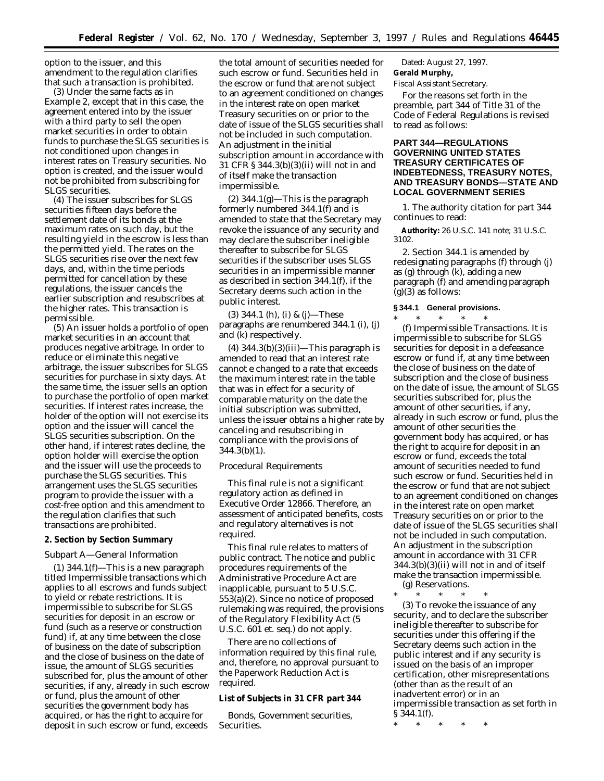option to the issuer, and this amendment to the regulation clarifies that such a transaction is prohibited.

(3) Under the same facts as in Example 2, except that in this case, the agreement entered into by the issuer with a third party to sell the open market securities in order to obtain funds to purchase the SLGS securities is not conditioned upon changes in interest rates on Treasury securities. No option is created, and the issuer would not be prohibited from subscribing for SLGS securities.

(4) The issuer subscribes for SLGS securities fifteen days before the settlement date of its bonds at the maximum rates on such day, but the resulting yield in the escrow is less than the permitted yield. The rates on the SLGS securities rise over the next few days, and, within the time periods permitted for cancellation by these regulations, the issuer cancels the earlier subscription and resubscribes at the higher rates. This transaction is permissible.

(5) An issuer holds a portfolio of open market securities in an account that produces negative arbitrage. In order to reduce or eliminate this negative arbitrage, the issuer subscribes for SLGS securities for purchase in sixty days. At the same time, the issuer sells an option to purchase the portfolio of open market securities. If interest rates increase, the holder of the option will not exercise its option and the issuer will cancel the SLGS securities subscription. On the other hand, if interest rates decline, the option holder will exercise the option and the issuer will use the proceeds to purchase the SLGS securities. This arrangement uses the SLGS securities program to provide the issuer with a cost-free option and this amendment to the regulation clarifies that such transactions are prohibited.

#### **2. Section by Section Summary**

#### *Subpart A—General Information*

 $(1)$  344.1(f)—This is a new paragraph titled Impermissible transactions which applies to all escrows and funds subject to yield or rebate restrictions. It is impermissible to subscribe for SLGS securities for deposit in an escrow or fund (such as a reserve or construction fund) if, at any time between the close of business on the date of subscription and the close of business on the date of issue, the amount of SLGS securities subscribed for, plus the amount of other securities, if any, already in such escrow or fund, plus the amount of other securities the government body has acquired, or has the right to acquire for deposit in such escrow or fund, exceeds

the total amount of securities needed for such escrow or fund. Securities held in the escrow or fund that are not subject to an agreement conditioned on changes in the interest rate on open market Treasury securities on or prior to the date of issue of the SLGS securities shall not be included in such computation. An adjustment in the initial subscription amount in accordance with 31 CFR § 344.3(b)(3)(ii) will not in and of itself make the transaction impermissible.

 $(2)$  344.1 $(g)$ —This is the paragraph formerly numbered 344.1(f) and is amended to state that the Secretary may revoke the issuance of any security and may declare the subscriber ineligible thereafter to subscribe for SLGS securities if the subscriber uses SLGS securities in an impermissible manner as described in section 344.1(f), if the Secretary deems such action in the public interest.

(3) 344.1 (h), (i) & (j)—These paragraphs are renumbered 344.1 (i), (j) and (k) respectively.

 $(4)$  344.3(b)(3)(iii)—This paragraph is amended to read that an interest rate cannot e changed to a rate that exceeds the maximum interest rate in the table that was in effect for a security of comparable maturity on the date the initial subscription was submitted, unless the issuer obtains a higher rate by canceling and resubscribing in compliance with the provisions of 344.3(b)(1).

# *Procedural Requirements*

This final rule is not a significant regulatory action as defined in Executive Order 12866. Therefore, an assessment of anticipated benefits, costs and regulatory alternatives is not required.

This final rule relates to matters of public contract. The notice and public procedures requirements of the Administrative Procedure Act are inapplicable, pursuant to 5 U.S.C. 553(a)(2). Since no notice of proposed rulemaking was required, the provisions of the Regulatory Flexibility Act (5 U.S.C. 601 *et. seq.*) do not apply.

There are no collections of information required by this final rule, and, therefore, no approval pursuant to the Paperwork Reduction Act is required.

## **List of Subjects in 31 CFR part 344**

Bonds, Government securities, Securities.

Dated: August 27, 1997. **Gerald Murphy,**

*Fiscal Assistant Secretary.*

For the reasons set forth in the preamble, part 344 of Title 31 of the Code of Federal Regulations is revised to read as follows:

## **PART 344—REGULATIONS GOVERNING UNITED STATES TREASURY CERTIFICATES OF INDEBTEDNESS, TREASURY NOTES, AND TREASURY BONDS—STATE AND LOCAL GOVERNMENT SERIES**

1. The authority citation for part 344 continues to read:

**Authority:** 26 U.S.C. 141 note; 31 U.S.C. 3102.

2. Section 344.1 is amended by redesignating paragraphs (f) through (j) as (g) through (k), adding a new paragraph (f) and amending paragraph  $(g)(3)$  as follows:

# **§ 344.1 General provisions.**

\* \* \* \* \* (f) *Impermissible Transactions.* It is impermissible to subscribe for SLGS securities for deposit in a defeasance escrow or fund if, at any time between the close of business on the date of subscription and the close of business on the date of issue, the amount of SLGS securities subscribed for, plus the amount of other securities, if any, already in such escrow or fund, plus the amount of other securities the government body has acquired, or has the right to acquire for deposit in an escrow or fund, exceeds the total amount of securities needed to fund such escrow or fund. Securities held in the escrow or fund that are not subject to an agreement conditioned on changes in the interest rate on open market Treasury securities on or prior to the date of issue of the SLGS securities shall not be included in such computation. An adjustment in the subscription amount in accordance with 31 CFR 344.3(b)(3)(ii) will not in and of itself make the transaction impermissible. (g) *Reservations.*

\* \* \* \* \*

(3) To revoke the issuance of any security, and to declare the subscriber ineligible thereafter to subscribe for securities under this offering if the Secretary deems such action in the public interest and if any security is issued on the basis of an improper certification, other misrepresentations (other than as the result of an inadvertent error) or in an impermissible transaction as set forth in § 344.1(f).

\* \* \* \* \*